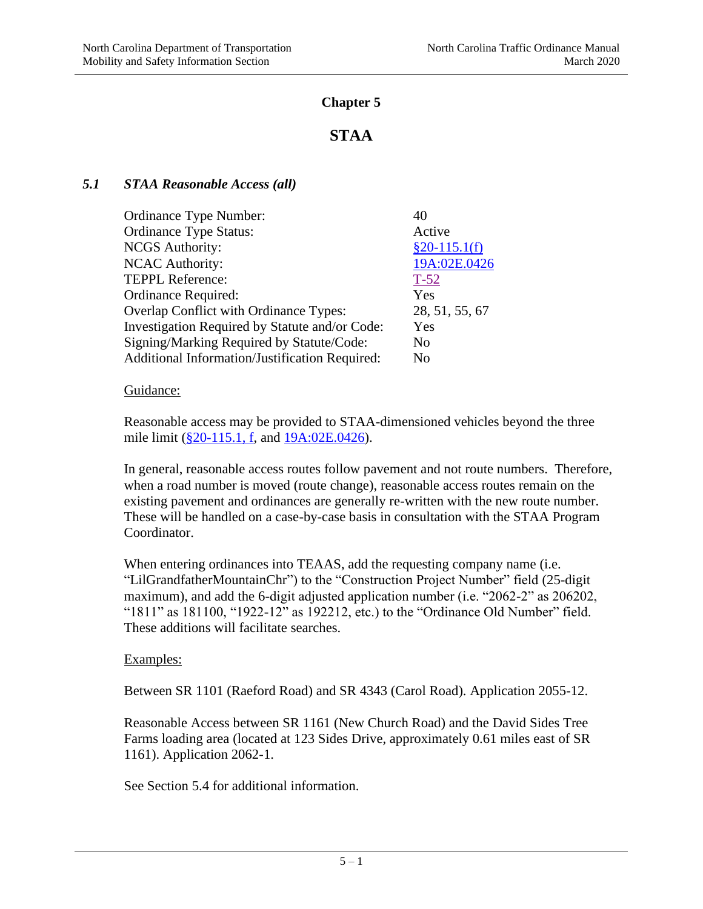## **Chapter 5**

# **STAA**

## *5.1 STAA Reasonable Access (all)*

| Ordinance Type Number:                         | 40             |
|------------------------------------------------|----------------|
| <b>Ordinance Type Status:</b>                  | Active         |
| <b>NCGS</b> Authority:                         | $§20-115.1(f)$ |
| <b>NCAC Authority:</b>                         | 19A:02E.0426   |
| <b>TEPPL Reference:</b>                        | $T-52$         |
| <b>Ordinance Required:</b>                     | Yes            |
| Overlap Conflict with Ordinance Types:         | 28, 51, 55, 67 |
| Investigation Required by Statute and/or Code: | Yes            |
| Signing/Marking Required by Statute/Code:      | No             |
| Additional Information/Justification Required: | N <sub>0</sub> |

### Guidance:

Reasonable access may be provided to STAA-dimensioned vehicles beyond the three mile limit [\(§20-115.1, f,](http://www.ncleg.net/gascripts/statutes/statutelookup.pl?statute=20-115.1) and [19A:02E.0426\)](http://reports.oah.state.nc.us/ncac/title%2019a%20-%20transportation/chapter%2002%20-%20division%20of%20highways/subchapter%20e/19a%20ncac%2002e%20.0426.html).

In general, reasonable access routes follow pavement and not route numbers. Therefore, when a road number is moved (route change), reasonable access routes remain on the existing pavement and ordinances are generally re-written with the new route number. These will be handled on a case-by-case basis in consultation with the STAA Program Coordinator.

When entering ordinances into TEAAS, add the requesting company name (i.e. "LilGrandfatherMountainChr") to the "Construction Project Number" field (25-digit maximum), and add the 6-digit adjusted application number (i.e. "2062-2" as 206202, "1811" as 181100, "1922-12" as 192212, etc.) to the "Ordinance Old Number" field. These additions will facilitate searches.

## Examples:

Between SR 1101 (Raeford Road) and SR 4343 (Carol Road). Application 2055-12.

Reasonable Access between SR 1161 (New Church Road) and the David Sides Tree Farms loading area (located at 123 Sides Drive, approximately 0.61 miles east of SR 1161). Application 2062-1.

See Section 5.4 for additional information.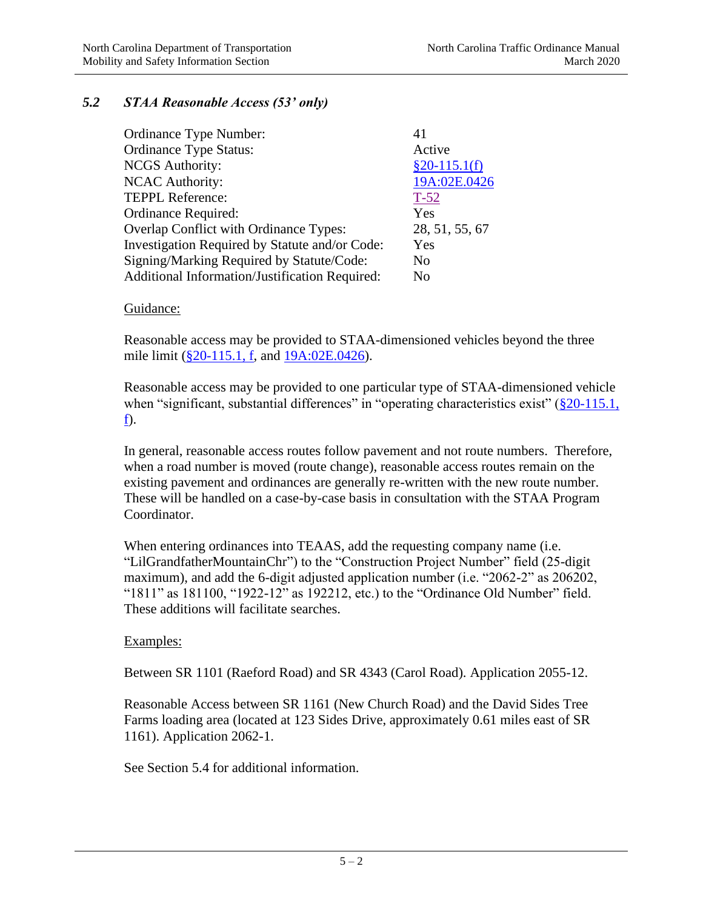## *5.2 STAA Reasonable Access (53' only)*

| Ordinance Type Number:                         | 41             |
|------------------------------------------------|----------------|
| <b>Ordinance Type Status:</b>                  | Active         |
| <b>NCGS</b> Authority:                         | $§20-115.1(f)$ |
| <b>NCAC Authority:</b>                         | 19A:02E.0426   |
| <b>TEPPL Reference:</b>                        | $T-52$         |
| Ordinance Required:                            | Yes            |
| Overlap Conflict with Ordinance Types:         | 28, 51, 55, 67 |
| Investigation Required by Statute and/or Code: | Yes            |
| Signing/Marking Required by Statute/Code:      | No             |
| Additional Information/Justification Required: | No             |

### Guidance:

Reasonable access may be provided to STAA-dimensioned vehicles beyond the three mile limit [\(§20-115.1, f,](http://www.ncleg.net/gascripts/statutes/statutelookup.pl?statute=20-115.1) and [19A:02E.0426\)](http://reports.oah.state.nc.us/ncac/title%2019a%20-%20transportation/chapter%2002%20-%20division%20of%20highways/subchapter%20e/19a%20ncac%2002e%20.0426.html).

Reasonable access may be provided to one particular type of STAA-dimensioned vehicle when "significant, substantial differences" in "operating characteristics exist"  $(\frac{820-115.1}{s})$ [f\)](http://www.ncleg.net/gascripts/statutes/statutelookup.pl?statute=20-115.1).

In general, reasonable access routes follow pavement and not route numbers. Therefore, when a road number is moved (route change), reasonable access routes remain on the existing pavement and ordinances are generally re-written with the new route number. These will be handled on a case-by-case basis in consultation with the STAA Program Coordinator.

When entering ordinances into TEAAS, add the requesting company name (i.e. "LilGrandfatherMountainChr") to the "Construction Project Number" field (25-digit maximum), and add the 6-digit adjusted application number (i.e. "2062-2" as 206202, "1811" as 181100, "1922-12" as 192212, etc.) to the "Ordinance Old Number" field. These additions will facilitate searches.

### Examples:

Between SR 1101 (Raeford Road) and SR 4343 (Carol Road). Application 2055-12.

Reasonable Access between SR 1161 (New Church Road) and the David Sides Tree Farms loading area (located at 123 Sides Drive, approximately 0.61 miles east of SR 1161). Application 2062-1.

See Section 5.4 for additional information.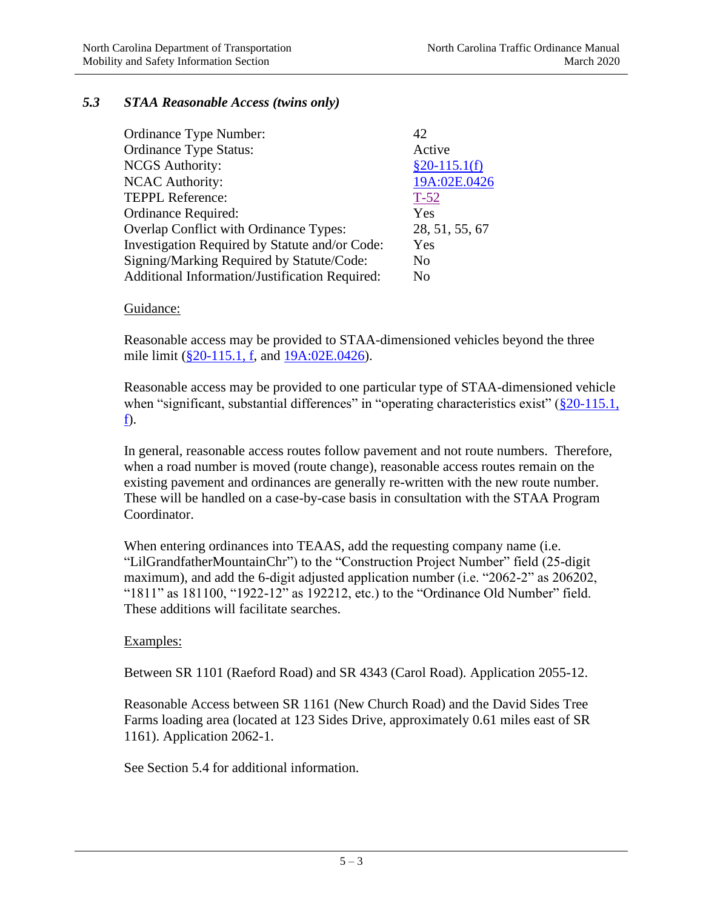### *5.3 STAA Reasonable Access (twins only)*

| Ordinance Type Number:                         | 42             |
|------------------------------------------------|----------------|
| <b>Ordinance Type Status:</b>                  | Active         |
| <b>NCGS</b> Authority:                         | $§20-115.1(f)$ |
| <b>NCAC Authority:</b>                         | 19A:02E.0426   |
| <b>TEPPL Reference:</b>                        | $T-52$         |
| Ordinance Required:                            | Yes            |
| Overlap Conflict with Ordinance Types:         | 28, 51, 55, 67 |
| Investigation Required by Statute and/or Code: | Yes            |
| Signing/Marking Required by Statute/Code:      | No             |
| Additional Information/Justification Required: | No             |

### Guidance:

Reasonable access may be provided to STAA-dimensioned vehicles beyond the three mile limit [\(§20-115.1, f,](http://www.ncleg.net/gascripts/statutes/statutelookup.pl?statute=20-115.1) and [19A:02E.0426\)](http://reports.oah.state.nc.us/ncac/title%2019a%20-%20transportation/chapter%2002%20-%20division%20of%20highways/subchapter%20e/19a%20ncac%2002e%20.0426.html).

Reasonable access may be provided to one particular type of STAA-dimensioned vehicle when "significant, substantial differences" in "operating characteristics exist"  $(\frac{820-115.1}{s})$ [f\)](http://www.ncleg.net/gascripts/statutes/statutelookup.pl?statute=20-115.1).

In general, reasonable access routes follow pavement and not route numbers. Therefore, when a road number is moved (route change), reasonable access routes remain on the existing pavement and ordinances are generally re-written with the new route number. These will be handled on a case-by-case basis in consultation with the STAA Program Coordinator.

When entering ordinances into TEAAS, add the requesting company name (i.e. "LilGrandfatherMountainChr") to the "Construction Project Number" field (25-digit maximum), and add the 6-digit adjusted application number (i.e. "2062-2" as 206202, "1811" as 181100, "1922-12" as 192212, etc.) to the "Ordinance Old Number" field. These additions will facilitate searches.

### Examples:

Between SR 1101 (Raeford Road) and SR 4343 (Carol Road). Application 2055-12.

Reasonable Access between SR 1161 (New Church Road) and the David Sides Tree Farms loading area (located at 123 Sides Drive, approximately 0.61 miles east of SR 1161). Application 2062-1.

See Section 5.4 for additional information.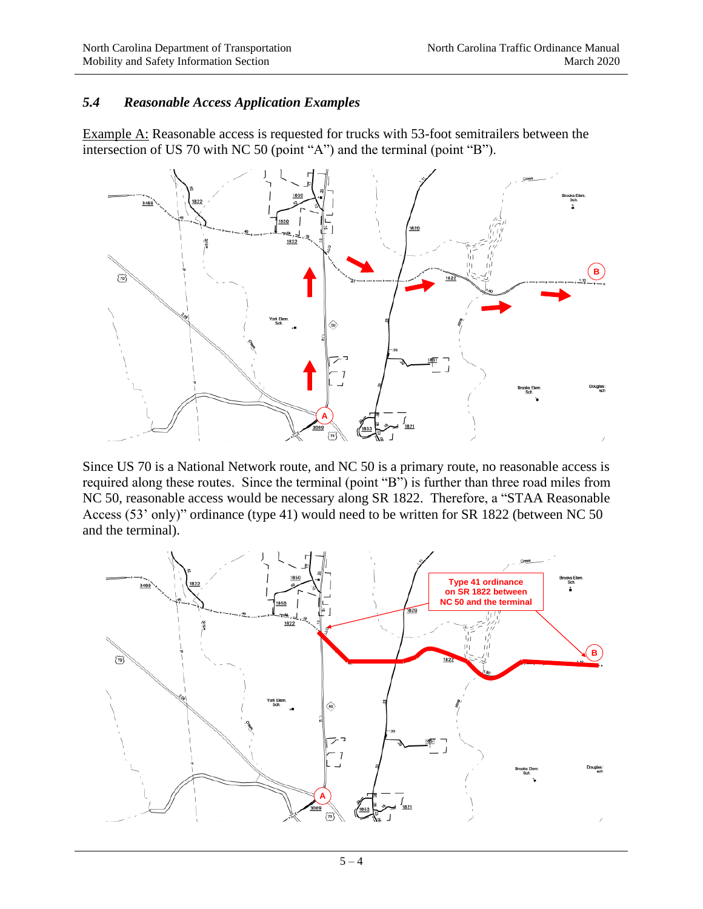## *5.4 Reasonable Access Application Examples*

Example A: Reasonable access is requested for trucks with 53-foot semitrailers between the intersection of US 70 with NC 50 (point "A") and the terminal (point "B").



Since US 70 is a National Network route, and NC 50 is a primary route, no reasonable access is required along these routes. Since the terminal (point "B") is further than three road miles from NC 50, reasonable access would be necessary along SR 1822. Therefore, a "STAA Reasonable Access (53' only)" ordinance (type 41) would need to be written for SR 1822 (between NC 50 and the terminal).

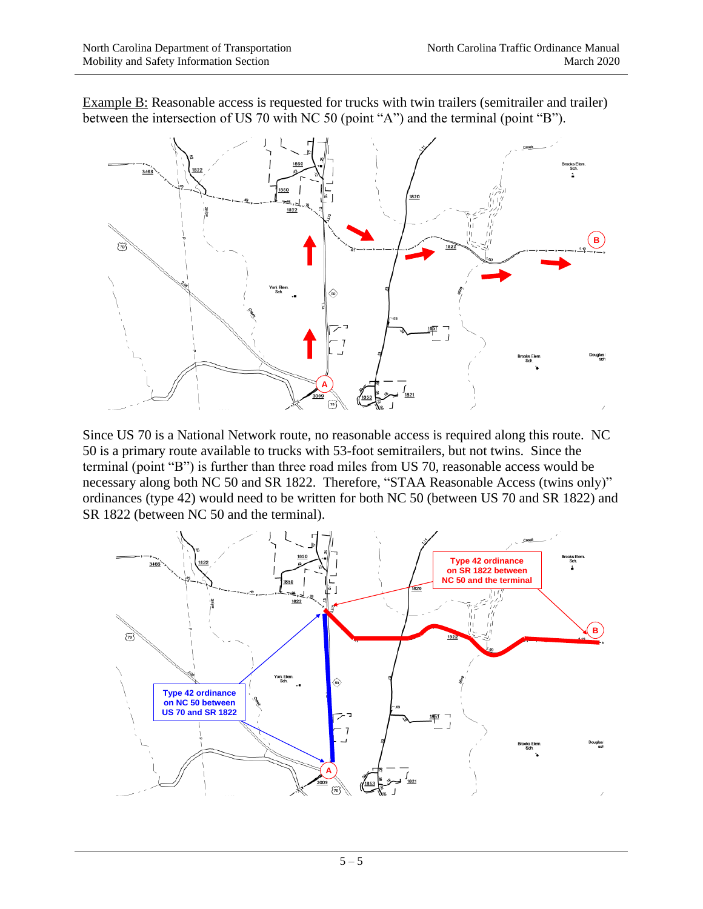Example B: Reasonable access is requested for trucks with twin trailers (semitrailer and trailer) between the intersection of US 70 with NC 50 (point "A") and the terminal (point "B").



Since US 70 is a National Network route, no reasonable access is required along this route. NC 50 is a primary route available to trucks with 53-foot semitrailers, but not twins. Since the terminal (point "B") is further than three road miles from US 70, reasonable access would be necessary along both NC 50 and SR 1822. Therefore, "STAA Reasonable Access (twins only)" ordinances (type 42) would need to be written for both NC 50 (between US 70 and SR 1822) and SR 1822 (between NC 50 and the terminal).

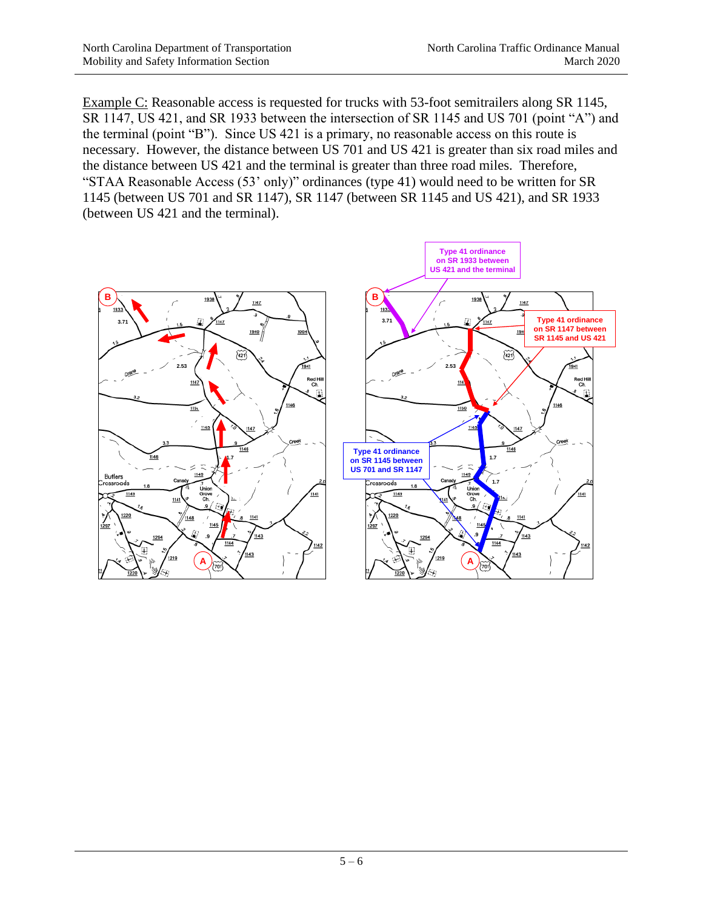Example C: Reasonable access is requested for trucks with 53-foot semitrailers along SR 1145, SR 1147, US 421, and SR 1933 between the intersection of SR 1145 and US 701 (point "A") and the terminal (point "B"). Since US 421 is a primary, no reasonable access on this route is necessary. However, the distance between US 701 and US 421 is greater than six road miles and the distance between US 421 and the terminal is greater than three road miles. Therefore, "STAA Reasonable Access (53' only)" ordinances (type 41) would need to be written for SR 1145 (between US 701 and SR 1147), SR 1147 (between SR 1145 and US 421), and SR 1933 (between US 421 and the terminal).

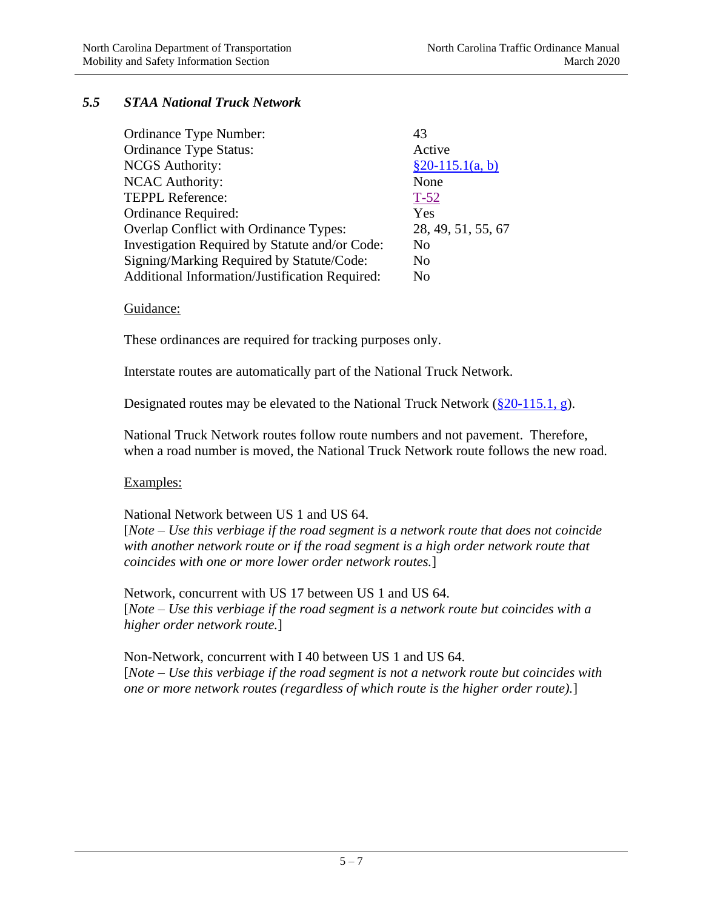## *5.5 STAA National Truck Network*

| Ordinance Type Number:                         | 43                 |
|------------------------------------------------|--------------------|
| <b>Ordinance Type Status:</b>                  | Active             |
| <b>NCGS</b> Authority:                         | $§20-115.1(a, b)$  |
| <b>NCAC Authority:</b>                         | None               |
| <b>TEPPL Reference:</b>                        | $T-52$             |
| Ordinance Required:                            | Yes                |
| Overlap Conflict with Ordinance Types:         | 28, 49, 51, 55, 67 |
| Investigation Required by Statute and/or Code: | N <sub>0</sub>     |
| Signing/Marking Required by Statute/Code:      | N <sub>0</sub>     |
| Additional Information/Justification Required: | N <sub>0</sub>     |

### Guidance:

These ordinances are required for tracking purposes only.

Interstate routes are automatically part of the National Truck Network.

Designated routes may be elevated to the National Truck Network [\(§20-115.1, g\)](http://www.ncleg.net/gascripts/statutes/statutelookup.pl?statute=20-115.1).

National Truck Network routes follow route numbers and not pavement. Therefore, when a road number is moved, the National Truck Network route follows the new road.

### Examples:

National Network between US 1 and US 64.

[*Note – Use this verbiage if the road segment is a network route that does not coincide with another network route or if the road segment is a high order network route that coincides with one or more lower order network routes.*]

Network, concurrent with US 17 between US 1 and US 64. [*Note – Use this verbiage if the road segment is a network route but coincides with a higher order network route.*]

Non-Network, concurrent with I 40 between US 1 and US 64. [*Note – Use this verbiage if the road segment is not a network route but coincides with one or more network routes (regardless of which route is the higher order route).*]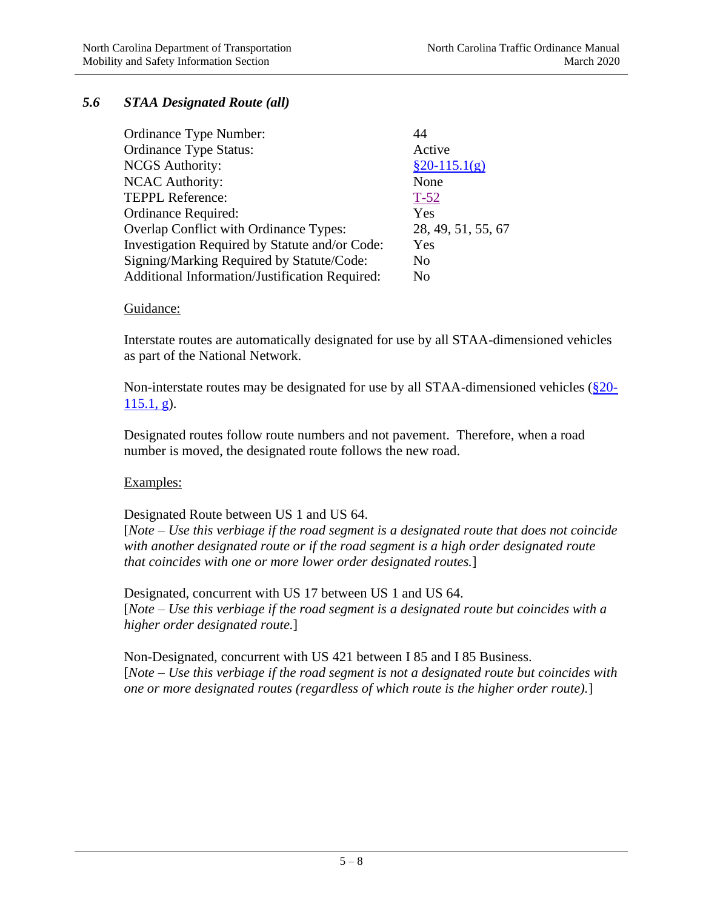## *5.6 STAA Designated Route (all)*

| Ordinance Type Number:                         | 44                 |
|------------------------------------------------|--------------------|
| <b>Ordinance Type Status:</b>                  | Active             |
| <b>NCGS</b> Authority:                         | $§20-115.1(g)$     |
| <b>NCAC Authority:</b>                         | None               |
| <b>TEPPL Reference:</b>                        | $T-52$             |
| Ordinance Required:                            | Yes                |
| <b>Overlap Conflict with Ordinance Types:</b>  | 28, 49, 51, 55, 67 |
| Investigation Required by Statute and/or Code: | Yes                |
| Signing/Marking Required by Statute/Code:      | N <sub>0</sub>     |
| Additional Information/Justification Required: | No                 |

### Guidance:

Interstate routes are automatically designated for use by all STAA-dimensioned vehicles as part of the National Network.

Non-interstate routes may be designated for use by all STAA-dimensioned vehicles [\(§20-](http://www.ncleg.net/gascripts/statutes/statutelookup.pl?statute=20-115.1)  $115.1, g$ ).

Designated routes follow route numbers and not pavement. Therefore, when a road number is moved, the designated route follows the new road.

### Examples:

Designated Route between US 1 and US 64.

[*Note – Use this verbiage if the road segment is a designated route that does not coincide with another designated route or if the road segment is a high order designated route that coincides with one or more lower order designated routes.*]

Designated, concurrent with US 17 between US 1 and US 64. [*Note – Use this verbiage if the road segment is a designated route but coincides with a higher order designated route.*]

Non-Designated, concurrent with US 421 between I 85 and I 85 Business. [*Note – Use this verbiage if the road segment is not a designated route but coincides with one or more designated routes (regardless of which route is the higher order route).*]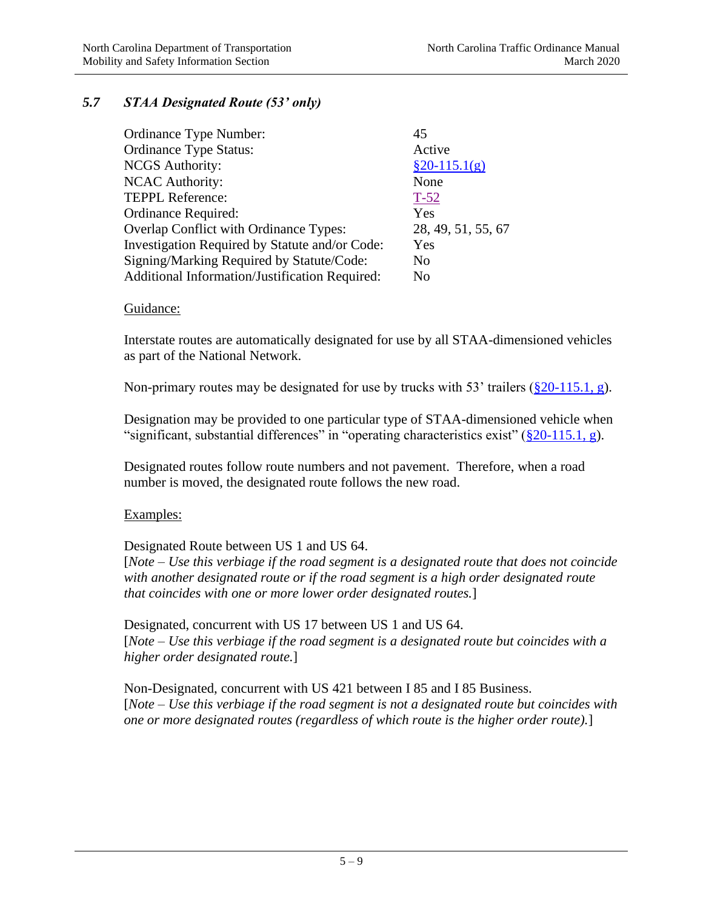## *5.7 STAA Designated Route (53' only)*

| Ordinance Type Number:                         | 45                 |
|------------------------------------------------|--------------------|
| <b>Ordinance Type Status:</b>                  | Active             |
| <b>NCGS</b> Authority:                         | $\S 20 - 115.1(g)$ |
| <b>NCAC Authority:</b>                         | None               |
| <b>TEPPL Reference:</b>                        | $T-52$             |
| <b>Ordinance Required:</b>                     | Yes                |
| Overlap Conflict with Ordinance Types:         | 28, 49, 51, 55, 67 |
| Investigation Required by Statute and/or Code: | Yes                |
| Signing/Marking Required by Statute/Code:      | N <sub>0</sub>     |
| Additional Information/Justification Required: | No                 |

### Guidance:

Interstate routes are automatically designated for use by all STAA-dimensioned vehicles as part of the National Network.

Non-primary routes may be designated for use by trucks with 53' trailers ( $\S 20$ -115.1, g).

Designation may be provided to one particular type of STAA-dimensioned vehicle when "significant, substantial differences" in "operating characteristics exist"  $(\frac{820-115.1}{,} g)$ .

Designated routes follow route numbers and not pavement. Therefore, when a road number is moved, the designated route follows the new road.

### Examples:

Designated Route between US 1 and US 64.

[*Note – Use this verbiage if the road segment is a designated route that does not coincide with another designated route or if the road segment is a high order designated route that coincides with one or more lower order designated routes.*]

Designated, concurrent with US 17 between US 1 and US 64. [*Note – Use this verbiage if the road segment is a designated route but coincides with a higher order designated route.*]

Non-Designated, concurrent with US 421 between I 85 and I 85 Business. [*Note – Use this verbiage if the road segment is not a designated route but coincides with one or more designated routes (regardless of which route is the higher order route).*]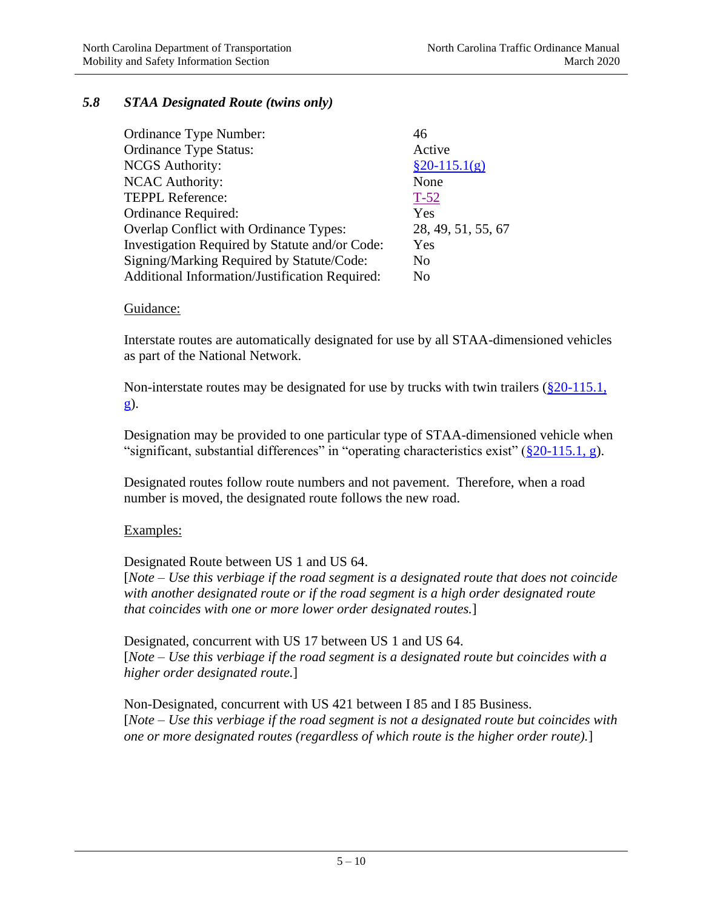## *5.8 STAA Designated Route (twins only)*

| Ordinance Type Number:                         | 46                 |
|------------------------------------------------|--------------------|
| <b>Ordinance Type Status:</b>                  | Active             |
| <b>NCGS</b> Authority:                         | $$20-115.1(g)$     |
| <b>NCAC Authority:</b>                         | None               |
| <b>TEPPL Reference:</b>                        | $T-52$             |
| Ordinance Required:                            | Yes                |
| Overlap Conflict with Ordinance Types:         | 28, 49, 51, 55, 67 |
| Investigation Required by Statute and/or Code: | Yes                |
| Signing/Marking Required by Statute/Code:      | N <sub>0</sub>     |
| Additional Information/Justification Required: | No                 |

### Guidance:

Interstate routes are automatically designated for use by all STAA-dimensioned vehicles as part of the National Network.

Non-interstate routes may be designated for use by trucks with twin trailers  $(\frac{820-115.1}{\sqrt{21}})$ [g\)](http://www.ncleg.net/gascripts/statutes/statutelookup.pl?statute=20-115.1).

Designation may be provided to one particular type of STAA-dimensioned vehicle when "significant, substantial differences" in "operating characteristics exist"  $(\frac{820-115.1}{,} g)$ .

Designated routes follow route numbers and not pavement. Therefore, when a road number is moved, the designated route follows the new road.

### Examples:

Designated Route between US 1 and US 64.

[*Note – Use this verbiage if the road segment is a designated route that does not coincide with another designated route or if the road segment is a high order designated route that coincides with one or more lower order designated routes.*]

Designated, concurrent with US 17 between US 1 and US 64. [*Note – Use this verbiage if the road segment is a designated route but coincides with a higher order designated route.*]

Non-Designated, concurrent with US 421 between I 85 and I 85 Business. [*Note – Use this verbiage if the road segment is not a designated route but coincides with one or more designated routes (regardless of which route is the higher order route).*]